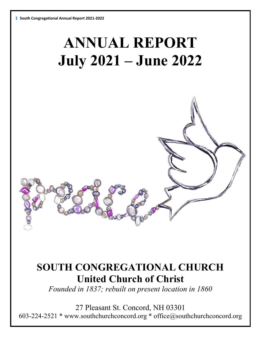# **ANNUAL REPORT July 2021 – June 2022**

# **SOUTH CONGREGATIONAL CHURCH United Church of Christ**

*Founded in 1837; rebuilt on present location in 1860*

27 Pleasant St. Concord, NH 03301 603-224-2521 \* www.southchurchconcord.org \* office@southchurchconcord.org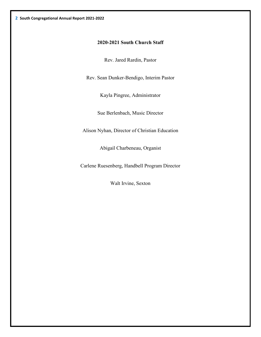#### **2020-2021 South Church Staff**

Rev. Jared Rardin, Pastor

Rev. Sean Dunker-Bendigo, Interim Pastor

Kayla Pingree, Administrator

Sue Berlenbach, Music Director

Alison Nyhan, Director of Christian Education

Abigail Charbeneau, Organist

Carlene Ruesenberg, Handbell Program Director

Walt Irvine, Sexton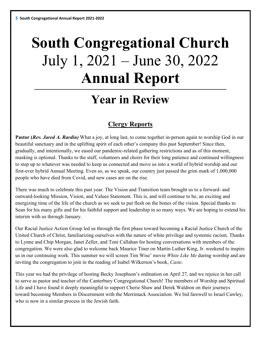# **South Congregational Church** July 1, 2021 – June 30, 2022 **Annual Report**

# **Year in Review**

# **Clergy Reports**

**Pastor (***Rev. Jared A. Rardin)* What a joy, at long last, to come together in-person again to worship God in our beautiful sanctuary and in the uplifting spirit of each other's company this past September! Since then, gradually, and intentionally, we eased our pandemic-related gathering restrictions and as of this moment, masking is optional. Thanks to the staff, volunteers and choirs for their long patience and continued willingness to step up to whatever was needed to keep us connected and move us into a world of hybrid worship and our first-ever hybrid Annual Meeting. Even so, as we speak, our country just passed the grim mark of 1,000,000 people who have died from Covid, and new cases are on the rise.

There was much to celebrate this past year. The Vision and Transition team brought us to a forward- and outward-looking Mission, Vision, and Values Statement. This is, and will continue to be, an exciting and energizing time of the life of the church as we seek to put flesh on the bones of the vision. Special thanks to Sean for his many gifts and for his faithful support and leadership in so many ways. We are hoping to extend his interim with us through January.

Our Racial Justice Action Group led us through the first phase toward becoming a Racial Justice Church of the United Church of Christ, familiarizing ourselves with the nature of white privilege and systemic racism. Thanks to Lynne and Chip Morgan, Janet Zeller, and Toni Callahan for hosting conversations with members of the congregation. We were also glad to welcome back Maurice Tiner on Martin Luther King, Jr. weekend to inspire us in our continuing work. This summer we will screen Tim Wise' movie *White Like Me* during worship and are inviting the congregation to join in the reading of Isabel Wilkerson's book, *Caste*.

This year we had the privilege of hosting Becky Josephson's ordination on April 27, and we rejoice in her call to serve as pastor and teacher of the Canterbury Congregational Church! The members of Worship and Spiritual Life and I have found it deeply meaningful to support Cherie Shaw and Derek Waldron on their journeys toward becoming Members in Discernment with the Merrimack Association. We bid farewell to Israel Cawley, who is now in a similar process in the Jewish faith.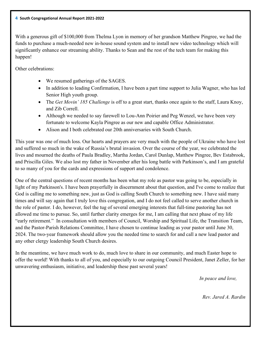With a generous gift of \$100,000 from Thelma Lyon in memory of her grandson Matthew Pingree, we had the funds to purchase a much-needed new in-house sound system and to install new video technology which will significantly enhance our streaming ability. Thanks to Sean and the rest of the tech team for making this happen!

Other celebrations:

- We resumed gatherings of the SAGES.
- In addition to leading Confirmation, I have been a part time support to Julia Wagner, who has led Senior High youth group.
- The *Get Movin' 185 Challenge* is off to a great start, thanks once again to the staff, Laura Knoy, and Zib Correll.
- Although we needed to say farewell to Lou-Ann Poirier and Peg Wenzel, we have been very fortunate to welcome Kayla Pingree as our new and capable Office Administrator.
- Alison and I both celebrated our 20th anniversaries with South Church.

This year was one of much loss. Our hearts and prayers are very much with the people of Ukraine who have lost and suffered so much in the wake of Russia's brutal invasion. Over the course of the year, we celebrated the lives and mourned the deaths of Paula Bradley, Martha Jordan, Carol Dunlap, Matthew Pingree, Bev Estabrook, and Priscilla Giles. We also lost my father in November after his long battle with Parkinson's, and I am grateful to so many of you for the cards and expressions of support and condolence.

One of the central questions of recent months has been what my role as pastor was going to be, especially in light of my Parkinson's. I have been prayerfully in discernment about that question, and I've come to realize that God is calling me to something new, just as God is calling South Church to something new. I have said many times and will say again that I truly love this congregation, and I do not feel called to serve another church in the role of pastor. I do, however, feel the tug of several emerging interests that full-time pastoring has not allowed me time to pursue. So, until further clarity emerges for me, I am calling that next phase of my life "early retirement." In consultation with members of Council, Worship and Spiritual Life, the Transition Team, and the Pastor-Parish Relations Committee, I have chosen to continue leading as your pastor until June 30, 2024. The two-year framework should allow you the needed time to search for and call a new lead pastor and any other clergy leadership South Church desires.

In the meantime, we have much work to do, much love to share in our community, and much Easter hope to offer the world! With thanks to all of you, and especially to our outgoing Council President, Janet Zeller, for her unwavering enthusiasm, initiative, and leadership these past several years!

*In peace and love,*

*Rev. Jared A. Rardin*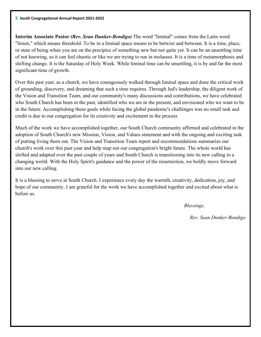**Interim Associate Pastor** *(Rev. Sean Dunker-Bendigo)* The word "liminal" comes from the Latin word "limen," which means threshold. To be in a liminal space means to be betwixt and between. It is a time, place, or state of being when you are on the precipice of something new but not quite yet. It can be an unsettling time of not knowing, so it can feel chaotic or like we are trying to run in molasses. It is a time of metamorphosis and shifting change. It is the Saturday of Holy Week. While liminal time can be unsettling, it is by and far the most significant time of growth.

Over this past year, as a church, we have courageously walked through liminal space and done the critical work of grounding, discovery, and dreaming that such a time requires. Through Jed's leadership, the diligent work of the Vision and Transition Team, and our community's many discussions and contributions, we have celebrated who South Church has been in the past, identified who we are in the present, and envisioned who we want to be in the future. Accomplishing these goals while facing the global pandemic's challenges was no small task and credit is due to our congregation for its creativity and excitement in the process

Much of the work we have accomplished together, our South Church community affirmed and celebrated in the adoption of South Church's new Mission, Vision, and Values statement and with the ongoing and exciting task of putting living them out. The Vision and Transition Team report and recommendations summarize our church's work over this past year and help map out our congregation's bright future. The whole world has shifted and adapted over the past couple of years and South Church is transitioning into its new calling to a changing world. With the Holy Spirit's guidance and the power of the resurrection, we boldly move forward into our new calling.

It is a blessing to serve at South Church. I experience every day the warmth, creativity, dedication, joy, and hope of our community. I am grateful for the work we have accomplished together and excited about what is before us.

*Blessings,*

*Rev. Sean Dunker-Bendigo*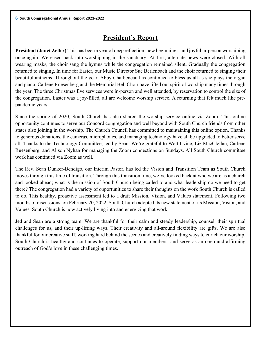# **President's Report**

**President (Janet Zeller)** This has been a year of deep reflection, new beginnings, and joyful in-person worshiping once again. We eased back into worshipping in the sanctuary. At first, alternate pews were closed. With all wearing masks, the choir sang the hymns while the congregation remained silent. Gradually the congregation returned to singing. In time for Easter, our Music Director Sue Berlenbach and the choir returned to singing their beautiful anthems. Throughout the year, Abby Charbeneau has continued to bless us all as she plays the organ and piano. Carlene Ruesenberg and the Memorial Bell Choir have lifted our spirit of worship many times through the year. The three Christmas Eve services were in-person and well attended, by reservation to control the size of the congregation. Easter was a joy-filled, all are welcome worship service. A returning that felt much like prepandemic years.

Since the spring of 2020, South Church has also shared the worship service online via Zoom. This online opportunity continues to serve our Concord congregation and well beyond with South Church friends from other states also joining in the worship. The Church Council has committed to maintaining this online option. Thanks to generous donations, the cameras, microphones, and managing technology have all be upgraded to better serve all. Thanks to the Technology Committee, led by Sean. We're grateful to Walt Irvine, Liz MacClellan, Carlene Ruesenberg, and Alison Nyhan for managing the Zoom connections on Sundays. All South Church committee work has continued via Zoom as well.

The Rev. Sean Dunker-Bendigo, our Interim Pastor, has led the Vision and Transition Team as South Church moves through this time of transition. Through this transition time, we've looked back at who we are as a church and looked ahead; what is the mission of South Church being called to and what leadership do we need to get there? The congregation had a variety of opportunities to share their thoughts on the work South Church is called to do. This healthy, proactive assessment led to a draft Mission, Vision, and Values statement. Following two months of discussions, on February 20, 2022, South Church adopted its new statement of its Mission, Vision, and Values. South Church is now actively living into and energizing that work.

Jed and Sean are a strong team. We are thankful for their calm and steady leadership, counsel, their spiritual challenges for us, and their up-lifting ways. Their creativity and all-around flexibility are gifts. We are also thankful for our creative staff, working hard behind the scenes and creatively finding ways to enrich our worship. South Church is healthy and continues to operate, support our members, and serve as an open and affirming outreach of God's love in these challenging times.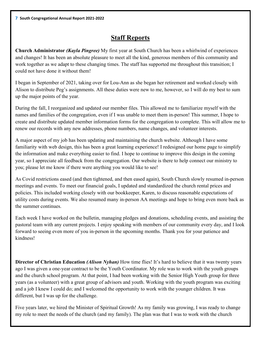# **Staff Reports**

**Church Administrator** *(Kayla Pingree)* My first year at South Church has been a whirlwind of experiences and changes! It has been an absolute pleasure to meet all the kind, generous members of this community and work together as we adapt to these changing times. The staff has supported me throughout this transition; I could not have done it without them!

I began in September of 2021, taking over for Lou-Ann as she began her retirement and worked closely with Alison to distribute Peg's assignments. All these duties were new to me, however, so I will do my best to sum up the major points of the year.

During the fall, I reorganized and updated our member files. This allowed me to familiarize myself with the names and families of the congregation, even if I was unable to meet them in-person! This summer, I hope to create and distribute updated member information forms for the congregation to complete. This will allow me to renew our records with any new addresses, phone numbers, name changes, and volunteer interests.

A major aspect of my job has been updating and maintaining the church website. Although I have some familiarity with web design, this has been a great learning experience! I redesigned our home page to simplify the information and make everything easier to find. I hope to continue to improve this design in the coming year, so I appreciate all feedback from the congregation. Our website is there to help connect our ministry to you; please let me know if there were anything you would like to see!

As Covid restrictions eased (and then tightened, and then eased again), South Church slowly resumed in-person meetings and events. To meet our financial goals, I updated and standardized the church rental prices and policies. This included working closely with our bookkeeper, Karen, to discuss reasonable expectations of utility costs during events. We also resumed many in-person AA meetings and hope to bring even more back as the summer continues.

Each week I have worked on the bulletin, managing pledges and donations, scheduling events, and assisting the pastoral team with any current projects. I enjoy speaking with members of our community every day, and I look forward to seeing even more of you in-person in the upcoming months. Thank you for your patience and kindness!

**Director of Christian Education** *(Alison Nyhan)* How time flies! It's hard to believe that it was twenty years ago I was given a one-year contract to be the Youth Coordinator. My role was to work with the youth groups and the church school program. At that point, I had been working with the Senior High Youth group for three years (as a volunteer) with a great group of advisors and youth. Working with the youth program was exciting and a job I knew I could do; and I welcomed the opportunity to work with the younger children. It was different, but I was up for the challenge.

Five years later, we hired the Minister of Spiritual Growth! As my family was growing, I was ready to change my role to meet the needs of the church (and my family). The plan was that I was to work with the church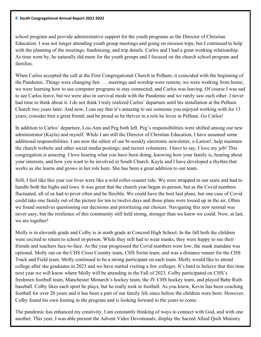school program and provide administrative support for the youth programs as the Director of Christian Education. I was not longer attending youth group meetings and going on mission trips, but I continued to help with the planning of the meetings, fundraising, and trip details. Carlos and I had a great working relationship. As time went by, he naturally did more for the youth groups and I focused on the church school program and families.

When Carlos accepted the call at the First Congregational Church in Pelham, it coincided with the beginning of the Pandemic. Things were changing fast . . . meetings and worship were remote; we were working from home; we were learning how to use computer programs to stay connected; and Carlos was leaving. Of course I was sad to see Carlos leave, but we were also in survival mode with the Pandemic and we rarely saw each other. I never had time to think about it. I do not think I truly realized Carlos' departure until his installation at the Pelham Church two years later. And now, I can say that it's amazing to see someone you enjoyed working with for 13 years; consider him a great friend; and be proud as he thrives in a role he loves in Pelham. Go Carlos!

In addition to Carlos' departure, Lou-Ann and Peg both left. Peg's responsibilities were shifted among our new administrator (Kayla) and myself. While I am still the Director of Christian Education, I have assumed some additional responsibilities. I am now the editor of our bi-weekly electronic newsletter, e-Lation!; help maintain the church website and other social media postings; and recruit volunteers. I have to say, I love my job! This congregation is amazing. I love hearing what you have been doing, knowing how your family is, hearing about your interests, and how you want to be involved in South Church. Kayla and I have developed a rhythm that works as she learns and grows in her role here. She has been a great addition to our team.

Still, I feel like this year our lives were like a wild roller-coaster ride. We were strapped in our seats and had to handle both the highs and lows. It was great that the church year began in-person, but as the Covid numbers fluctuated, all of us had to pivot often and be flexible. We could have the best laid plans, but one case of Covid could take one family out of the picture for ten to twelve days and those plans were tossed up in the air. Often we found ourselves questioning our decisions and prioritizing our choices. Navigating this new normal was never easy, but the resilience of this community still held strong, stronger than we knew we could. Now, at last, we are together!

Molly is in eleventh grade and Colby is in ninth grade at Concord High School. In the fall both the children were excited to return to school in-person. While they still had to wear masks, they were happy to see their friends and teachers face-to-face. As the year progressed the Covid numbers were low, the mask mandate was optional. Molly ran on the CHS Cross Country team, CHS Swim team, and was a distance runner for the CHS Track and Field team. Molly continued to be a strong participant on each team. Molly would like to attend college after she graduates in 2023 and we have started visiting a few colleges. It's hard to believe that this time next year we will know where Molly will be attending in the Fall of 2023. Colby participated on CHS's freshmen football team, Manchester Monarch's hockey team, the JV CHS hockey team, and played Babe Ruth baseball. Colby likes each sport he plays, but he really took to football. As you know, Kevin has been coaching football for over 20 years and it has been a part of our family life since before the children were born. However, Colby found his own footing in the program and is looking forward to the years to come.

The pandemic has enhanced my creativity. I am constantly thinking of ways to connect with God, and with one another. This year, I was able present the Advent Video Devotionals; display the Sacred Allied Quilt Ministry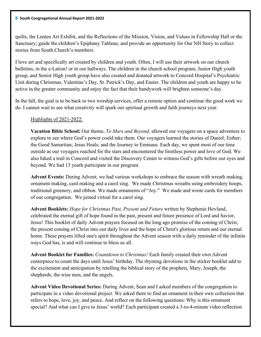quilts, the Lenten Art Exhibit, and the Reflections of the Mission, Vision, and Values in Fellowship Hall or the Sanctuary; guide the children's Epiphany Tableau; and provide an opportunity for Our NH Story to collect stories from South Church's members.

I love art and specifically art created by children and youth. Often, I will use their artwork on our church bulletins, in the e-Lation! or in our hallways. The children in the church school program, Junior High youth group, and Senior High youth group have also created and donated artwork to Concord Hospital's Psychiatric Unit during Christmas, Valentine's Day, St. Patrick's Day, and Easter. The children and youth are happy to be active in the greater community and enjoy the fact that their handywork will brighten someone's day.

In the fall, the goal is to be back to two worship services, offer a remote option and continue the good work we do. I cannot wait to see what creativity will spark our spiritual growth and faith journeys next year.

### Highlights of 2021-2022:

**Vacation Bible School:** Our theme, *To Mars and Beyond,* allowed our voyagers on a space adventure to explore to see where God's power could take them. Our voyagers learned the stories of Daniel; Esther; the Good Samaritan; Jesus Heals; and the Journey to Emmaus. Each day, we spent most of our time outside as our voyagers reached for the stars and encountered the limitless power and love of God. We also hiked a trail in Concord and visited the Discovery Center to witness God's gifts before our eyes and beyond. We had 13 youth participate in our program.

**Advent Events:** During Advent, we had various workshops to embrace the season with wreath making, ornament making, card making and a carol sing. We made Christmas wreaths using embroidery hoops, traditional greenery, and ribbon. We made ornaments of "Joy." We made and wrote cards for members of our congregation. We joined virtual for a carol sing.

**Advent Booklets:** *Hope for Christmas Past, Present and Future* written by Stephenie Hovland, celebrated the eternal gift of hope found in the past, present and future presence of Lord and Savior, Jesus! This booklet of daily Advent prayers focused on the long ago promise of the coming of Christ, the present coming of Christ into our daily lives and the hope of Christ's glorious return and our eternal home. These prayers lifted one's spirit throughout the Advent season with a daily reminder of the infinite ways God has, is and will continue to bless us all.

**Advent Booklet for Families:** *Countdown to Christmas!* Each family created their own Advent centerpiece to count the days until Jesus' birthday. The rhyming devotions in the sticker booklet add to the excitement and anticipation by retelling the biblical story of the prophets, Mary, Joseph, the shepherds, the wise men, and the angels.

**Advent Video Devotional Series:** During Advent, Sean and I asked members of the congregation to participate in a video devotional project. We asked them to find an ornament in their own collection that refers to hope, love, joy, and peace. And reflect on the following questions: Why is this ornament special? And what can I give to Jesus' world? Each participant created a 3-to-4-minute video reflection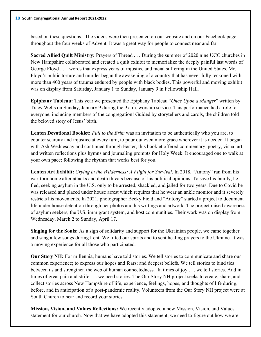based on these questions. The videos were then presented on our website and on our Facebook page throughout the four weeks of Advent. It was a great way for people to connect near and far.

**Sacred Allied Quilt Ministry:** Prayers of Thread . . . During the summer of 2020 nine UCC churches in New Hampshire collaborated and created a quilt exhibit to memorialize the deeply painful last words of George Floyd . . . words that express years of injustice and racial suffering in the United States. Mr. Floyd's public torture and murder began the awakening of a country that has never fully reckoned with more than 400 years of trauma endured by people with black bodies. This powerful and moving exhibit was on display from Saturday, January 1 to Sunday, January 9 in Fellowship Hall.

**Epiphany Tableau:** This year we presented the Epiphany Tableau "*Once Upon a Manger*" written by Tracy Wells on Sunday, January 9 during the 9 a.m. worship service. This performance had a role for everyone, including members of the congregation! Guided by storytellers and carols, the children told the beloved story of Jesus' birth.

**Lenten Devotional Booklet:** *Full to the Brim* was an invitation to be authentically who you are, to counter scarcity and injustice at every turn, to pour out even more grace wherever it is needed. It began with Ash Wednesday and continued through Easter, this booklet offered commentary, poetry, visual art, and written reflections plus hymns and journaling prompts for Holy Week. It encouraged one to walk at your own pace; following the rhythm that works best for you.

**Lenten Art Exhibit:** *Crying in the Wilderness: A Flight for Survival*. In 2018, "Antony" ran from his war-torn home after attacks and death threats because of his political opinions. To save his family, he fled, seeking asylum in the U.S. only to be arrested, shackled, and jailed for two years. Due to Covid he was released and placed under house arrest which requires that he wear an ankle monitor and it severely restricts his movements. In 2021, photographer Becky Field and "Antony" started a project to document life under house detention through her photos and his writings and artwork. The project raised awareness of asylum seekers, the U.S. immigrant system, and host communities. Their work was on display from Wednesday, March 2 to Sunday, April 17.

**Singing for the Souls:** As a sign of solidarity and support for the Ukrainian people, we came together and sang a few songs during Lent. We lifted our spirits and to sent healing prayers to the Ukraine. It was a moving experience for all those who participated.

**Our Story NH:** For millennia, humans have told stories. We tell stories to communicate and share our common experience; to express our hopes and fears; and deepest beliefs. We tell stories to bind ties between us and strengthen the web of human connectedness. In times of joy . . . we tell stories. And in times of great pain and strife . . . we need stories. The Our Story NH project seeks to create, share, and collect stories across New Hampshire of life, experience, feelings, hopes, and thoughts of life during, before, and in anticipation of a post-pandemic reality. Volunteers from the Our Story NH project were at South Church to hear and record your stories.

**Mission, Vision, and Values Reflections:** We recently adopted a new Mission, Vision, and Values statement for our church. Now that we have adopted this statement, we need to figure out how we are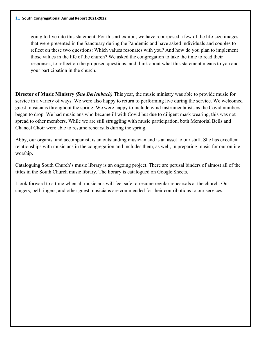going to live into this statement. For this art exhibit, we have repurposed a few of the life-size images that were presented in the Sanctuary during the Pandemic and have asked individuals and couples to reflect on these two questions: Which values resonates with you? And how do you plan to implement those values in the life of the church? We asked the congregation to take the time to read their responses; to reflect on the proposed questions; and think about what this statement means to you and your participation in the church.

**Director of Music Ministry** *(Sue Berlenbach)* This year, the music ministry was able to provide music for service in a variety of ways. We were also happy to return to performing live during the service. We welcomed guest musicians throughout the spring. We were happy to include wind instrumentalists as the Covid numbers began to drop. We had musicians who became ill with Covid but due to diligent mask wearing, this was not spread to other members. While we are still struggling with music participation, both Memorial Bells and Chancel Choir were able to resume rehearsals during the spring.

Abby, our organist and accompanist, is an outstanding musician and is an asset to our staff. She has excellent relationships with musicians in the congregation and includes them, as well, in preparing music for our online worship.

Cataloguing South Church's music library is an ongoing project. There are perusal binders of almost all of the titles in the South Church music library. The library is catalogued on Google Sheets.

I look forward to a time when all musicians will feel safe to resume regular rehearsals at the church. Our singers, bell ringers, and other guest musicians are commended for their contributions to our services.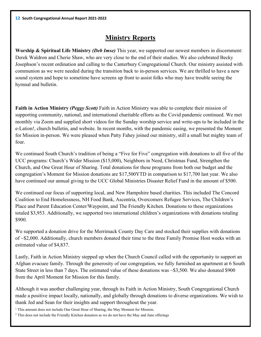# **Ministry Reports**

**Worship & Spiritual Life Ministry** *(Deb Imse)* This year, we supported our newest members in discernment: Derek Waldron and Cherie Shaw, who are very close to the end of their studies. We also celebrated Becky Josephson's recent ordination and calling to the Canterbury Congregational Church. Our ministry assisted with communion as we were needed during the transition back to in-person services. We are thrilled to have a new sound system and hope to sometime have screens up front to assist folks who may have trouble seeing the hymnal and bulletin.

**Faith in Action Ministry** *(Peggy Scott)* Faith in Action Ministry was able to complete their mission of supporting community, national, and international charitable efforts as the Covid pandemic continued. We met monthly via Zoom and supplied short videos for the Sunday worship service and write-ups to be included in the e-Lation!, church bulletin, and website. In recent months, with the pandemic easing, we presented the Moment for Mission in-person. We were pleased when Patty Fahey joined our ministry, still a small but mighty team of four.

We continued South Church's tradition of being a "Five for Five" congregation with donations to all five of the UCC programs: Church's Wider Mission (\$15,000), Neighbors in Need, Christmas Fund, Strengthen the Church, and One Great Hour of Sharing. Total donations for these programs from both our budget and the congregation's Moment for Mission donations are \$17,500YTD in comparison to \$17,700 last year. We also have continued our annual giving to the UCC Global Ministries Disaster Relief Fund in the amount of \$500.

We continued our focus of supporting local, and New Hampshire based charities. This included The Concord Coalition to End Homelessness, NH Food Bank, Ascentria, Overcomers Refugee Services, The Children's Place and Parent Education Center/Waypoint, and The Friendly Kitchen. Donations to these organizations totaled \$3,953. Additionally, we supported two international children's organizations with donations totaling \$900.

We supported a donation drive for the Merrimack County Day Care and stocked their supplies with donations of ~\$2,000. Additionally, church members donated their time to the three Family Promise Host weeks with an estimated value of \$4,837.

Lastly, Faith in Action Ministry stepped up when the Church Council called with the opportunity to support an Afghan evacuee family. Through the generosity of our congregation, we fully furnished an apartment at 6 South State Street in less than 7 days. The estimated value of these donations was ~\$3,500. We also donated \$900 from the April Moment for Mission for this family.

Although it was another challenging year, through its Faith in Action Ministry, South Congregational Church made a positive impact locally, nationally, and globally through donations to diverse organizations. We wish to thank Jed and Sean for their insights and support throughout the year.

<sup>1</sup> This amount does not include One Great Hour of Sharing, the May Moment for Mission. 2 This does not include the Friendly Kitchen donation as we do not have the May and June offerings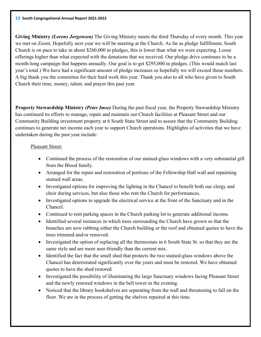**Giving Ministry** *(Lorens Jorgensen)* The Giving Ministry meets the third Thursday of every month. This year we met on Zoom. Hopefully next year we will be meeting at the Church. As far as pledge fulfillment, South Church is on pace to take in about \$260,000 in pledges, this is lower than what we were expecting. Loose offerings higher than what expected with the donations that we received. Our pledge drive continues to be a month-long campaign that happens annually. Our goal is to get \$295,000 in pledges. (This would match last year's total.) We have had a significant amount of pledge increases so hopefully we will exceed those numbers. A big thank you the committee for their hard work this year. Thank you also to all who have given to South Church their time, money, talent, and prayer this past year.

**Property Stewardship Ministry** *(Peter Imse)* During the past fiscal year, the Property Stewardship Ministry has continued its efforts to manage, repair and maintain our Church facilities at Pleasant Street and our Community Building investment property at 6 South State Street and to assure that the Community Building continues to generate net income each year to support Church operations. Highlights of activities that we have undertaken during the past year include:

### Pleasant Street:

- Continued the process of the restoration of our stained-glass windows with a very substantial gift from the Blood family.
- Arranged for the repair and restoration of portions of the Fellowship Hall wall and repainting stained wall areas.
- Investigated options for improving the lighting in the Chancel to benefit both our clergy and choir during services, but also those who rent the Church for performances.
- Investigated options to upgrade the electrical service at the front of the Sanctuary and in the Chancel.
- Continued to rent parking spaces in the Church parking lot to generate additional income.
- Identified several instances in which trees surrounding the Church have grown so that the branches are now rubbing either the Church building or the roof and obtained quotes to have the trees trimmed and/or removed.
- Investigated the option of replacing all the thermostats in 6 South State St. so that they are the same style and are more user-friendly than the current mix.
- Identified the fact that the small shed that protects the two stained-glass windows above the Chancel has deteriorated significantly over the years and must be restored. We have obtained quotes to have the shed restored.
- Investigated the possibility of illuminating the large Sanctuary windows facing Pleasant Street and the newly restored windows in the bell tower in the evening.
- Noticed that the library bookshelves are separating from the wall and threatening to fall on the floor. We are in the process of getting the shelves repaired at this time.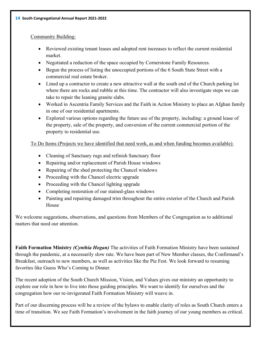#### Community Building:

- Reviewed existing tenant leases and adopted rent increases to reflect the current residential market.
- Negotiated a reduction of the space occupied by Cornerstone Family Resources.
- Begun the process of listing the unoccupied portions of the 6 South State Street with a commercial real estate broker.
- Lined up a contractor to create a new attractive wall at the south end of the Church parking lot where there are rocks and rubble at this time. The contractor will also investigate steps we can take to repair the leaning granite slabs.
- Worked in Ascentria Family Services and the Faith in Action Ministry to place an Afghan family in one of our residential apartments.
- Explored various options regarding the future use of the property, including: a ground lease of the property, sale of the property, and conversion of the current commercial portion of the property to residential use.

#### To Do Items (Projects we have identified that need work, as and when funding becomes available):

- Cleaning of Sanctuary rugs and refinish Sanctuary floor
- Repairing and/or replacement of Parish House windows
- Repairing of the shed protecting the Chancel windows
- Proceeding with the Chancel electric upgrade
- Proceeding with the Chancel lighting upgrade
- Completing restoration of our stained-glass windows
- Painting and repairing damaged trim throughout the entire exterior of the Church and Parish House

We welcome suggestions, observations, and questions from Members of the Congregation as to additional matters that need our attention.

**Faith Formation Ministry** *(Cynthia Hogan)* The activities of Faith Formation Ministry have been sustained through the pandemic, at a necessarily slow rate. We have been part of New Member classes, the Confirmand's Breakfast, outreach to new members, as well as activities like the Pie Fest. We look forward to resuming favorites like Guess Who's Coming to Dinner.

The recent adoption of the South Church Mission, Vision, and Values gives our ministry an opportunity to explore our role in how to live into those guiding principles. We want to identify for ourselves and the congregation how our re-invigorated Faith Formation Ministry will weave in.

Part of our discerning process will be a review of the bylaws to enable clarity of roles as South Church enters a time of transition. We see Faith Formation's involvement in the faith journey of our young members as critical.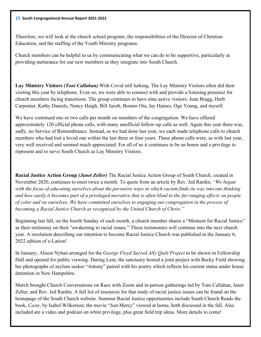#### **15 South Congregational Annual Report 2021-2022**

Therefore, we will look at the church school program, the responsibilities of the Director of Christian Education, and the staffing of the Youth Ministry programs.

Church members can be helpful to us by communicating what we can do to be supportive, particularly at providing nurturance for our new members as they integrate into South Church.

**Lay Ministry Visitors** *(Toni Callahan)* With Covid still lurking, The Lay Ministry Visitors often did their visiting this year by telephone. Even so, we were able to connect with and provide a listening presence for church members facing transitions. The group continues to have nine active visitors: Jean Bragg, Herb Carpenter, Kathy Daniels, Nancy Haigh, Bill Jacob, Bonnie Ota, Jay Haines, Oge Young, and myself.

We have continued one or two calls per month on members of the congregation. We have offered approximately 120 official phone calls, with many unofficial follow-up calls as well. Again this year there was, sadly, no Service of Remembrance. Instead, as we had done last year, we each made telephone calls to church members who had lost a loved one within the last three or four years. These phone calls were, as with last year, very well received and seemed much appreciated. For all of us it continues to be an honor and a privilege to represent and to serve South Church as Lay Ministry Visitors.

**Racial Justice Action Group** *(Janet Zeller)* The Racial Justice Action Group of South Church, created in November 2020, continues to meet twice a month. To quote from an article by Rev. Jed Rardin, *"We began with the focus of educating ourselves about the pervasive ways in which racism finds its way into our thinking and how easily it becomes part of a privileged narrative that is often blind to the far-ranging effects on people of color and on ourselves. We have committed ourselves to engaging our congregation in the process of becoming a Racial Justice Church as recognized by the United Church of Christ."*

Beginning last fall, on the fourth Sunday of each month, a church member shares a "Moment for Racial Justice" as their testimony on their "awakening to racial issues." These testimonies will continue into the next church year. A resolution describing our intention to become Racial Justice Church was published in the January 6, 2022 edition of e-Lation!

In January, Alison Nyhan arranged for the *George Floyd Sacred Ally Quilt Project* to be shown in Fellowship Hall and opened for public viewing. During Lent, the sanctuary hosted a joint project with Becky Field showing her photographs of asylum seeker "Antony" paired with his poetry which reflects his current status under house detention in New Hampshire.

March brought Church Conversations on Race with Zoom and in-person gatherings led by Toni Callahan, Janet Zeller, and Rev. Jed Rardin. A full list of resources for that study of racial justice issues can be found on the homepage of the South Church website*.* Summer Racial Justice opportunities include South Church Reads the book, *Caste*, by Isabel Wilkerson; the movie "Just Mercy" viewed at home, both discussed in the fall. Also included are a video and podcast on white privilege, plus great field trip ideas. More details to come!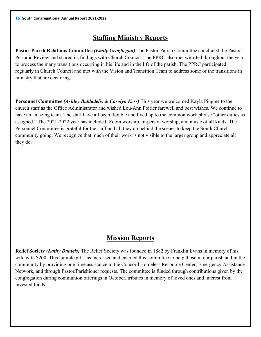# **Staffing Ministry Reports**

**Pastor-Parish Relations Committee** *(Emily Geoghegan)* The Pastor-Parish Committee concluded the Pastor's Periodic Review and shared its findings with Church Council. The PPRC also met with Jed throughout the year to process the many transitions occurring in his life and in the life of the parish. The PPRC participated regularly in Church Council and met with the Vision and Transition Team to address some of the transitions in ministry that are occurring.

**Personnel Committee** *(Ashley Babladelis & Carolyn Kerr)* This year we welcomed Kayla Pingree to the church staff as the Office Administrator and wished Lou-Ann Poirier farewell and best wishes. We continue to have an amazing team. The staff have all been flexible and lived up to the common work phrase "other duties as assigned." The 2021-2022 year has included: Zoom worship, in-person worship, and music of all kinds. The Personnel Committee is grateful for the staff and all they do behind the scenes to keep the South Church community going. We recognize that much of their work is not visible to the larger group and appreciate all they do.

# **Mission Reports**

**Relief Society** *(Kathy Daniels)* The Relief Society was founded in 1882 by Franklin Evans in memory of his wife with \$200. This humble gift has increased and enabled this committee to help those in our parish and in the community by providing one-time assistance to the Concord Homeless Resource Center, Emergency Assistance Network, and through Pastor/Parishioner requests. The committee is funded through contributions given by the congregation during communion offerings in October, tributes in memory of loved ones and interest from invested funds.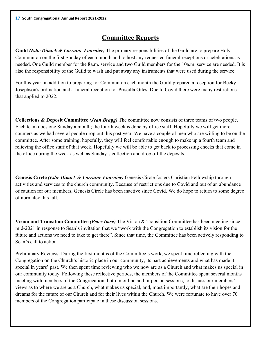# **Committee Reports**

**Guild** *(Edie Dimick & Lorraine Fournier)* The primary responsibilities of the Guild are to prepare Holy Communion on the first Sunday of each month and to host any requested funeral receptions or celebrations as needed. One Guild member for the 8a.m. service and two Guild members for the 10a.m. service are needed. It is also the responsibility of the Guild to wash and put away any instruments that were used during the service.

For this year, in addition to preparing for Communion each month the Guild prepared a reception for Becky Josephson's ordination and a funeral reception for Priscilla Giles. Due to Covid there were many restrictions that applied to 2022.

**Collections & Deposit Committee** *(Jean Bragg)* The committee now consists of three teams of two people. Each team does one Sunday a month; the fourth week is done by office staff. Hopefully we will get more counters as we had several people drop out this past year. We have a couple of men who are willing to be on the committee. After some training, hopefully, they will feel comfortable enough to make up a fourth team and relieving the office staff of that week. Hopefully we will be able to get back to processing checks that come in the office during the week as well as Sunday's collection and drop off the deposits.

**Genesis Circle** *(Edie Dimick & Lorraine Fournier)* Genesis Circle fosters Christian Fellowship through activities and services to the church community. Because of restrictions due to Covid and out of an abundance of caution for our members, Genesis Circle has been inactive since Covid. We do hope to return to some degree of normalcy this fall.

**Vision and Transition Committee** *(Peter Imse)* The Vision & Transition Committee has been meeting since mid-2021 in response to Sean's invitation that we "work with the Congregation to establish its vision for the future and actions we need to take to get there". Since that time, the Committee has been actively responding to Sean's call to action.

Preliminary Reviews: During the first months of the Committee's work, we spent time reflecting with the Congregation on the Church's historic place in our community, its past achievements and what has made it special in years' past. We then spent time reviewing who we now are as a Church and what makes us special in our community today. Following these reflective periods, the members of the Committee spent several months meeting with members of the Congregation, both in online and in-person sessions, to discuss our members' views as to where we are as a Church, what makes us special, and, most importantly, what are their hopes and dreams for the future of our Church and for their lives within the Church. We were fortunate to have over 70 members of the Congregation participate in these discussion sessions.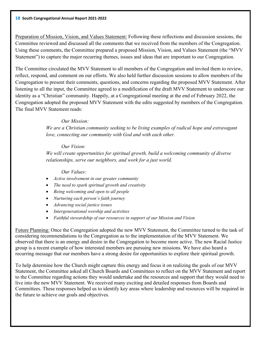Preparation of Mission, Vision, and Values Statement: Following these reflections and discussion sessions, the Committee reviewed and discussed all the comments that we received from the members of the Congregation. Using these comments, the Committee prepared a proposed Mission, Vision, and Values Statement (the "MVV Statement") to capture the major recurring themes, issues and ideas that are important to our Congregation.

The Committee circulated the MVV Statement to all members of the Congregation and invited them to review, reflect, respond, and comment on our efforts. We also held further discussion sessions to allow members of the Congregation to present their comments, questions, and concerns regarding the proposed MVV Statement. After listening to all the input, the Committee agreed to a modification of the draft MVV Statement to underscore our identity as a "Christian" community. Happily, at a Congregational meeting at the end of February 2022, the Congregation adopted the proposed MVV Statement with the edits suggested by members of the Congregation. The final MVV Statement reads:

#### *Our Mission:*

*We are a Christian community seeking to be living examples of radical hope and extravagant love, connecting our community with God and with each other.*

#### *Our Vision:*

*We will create opportunities for spiritual growth, build a welcoming community of diverse relationships, serve our neighbors, and work for a just world.*

*Our Values:*

- *Active involvement in our greater community*
- *The need to spark spiritual growth and creativity*
- *Being welcoming and open to all people*
- *Nurturing each person's faith journey*
- *Advancing social justice issues*
- *Intergenerational worship and activities*
- *Faithful stewardship of our resources in support of our Mission and Vision*

Future Planning: Once the Congregation adopted the new MVV Statement, the Committee turned to the task of considering recommendations to the Congregation as to the implementation of the MVV Statement. We observed that there is an energy and desire in the Congregation to become more active. The new Racial Justice group is a recent example of how interested members are pursuing new missions. We have also heard a recurring message that our members have a strong desire for opportunities to explore their spiritual growth.

To help determine how the Church might capture this energy and focus it on realizing the goals of our MVV Statement, the Committee asked all Church Boards and Committees to reflect on the MVV Statement and report to the Committee regarding actions they would undertake and the resources and support that they would need to live into the new MVV Statement. We received many exciting and detailed responses from Boards and Committees. These responses helped us to identify key areas where leadership and resources will be required in the future to achieve our goals and objectives.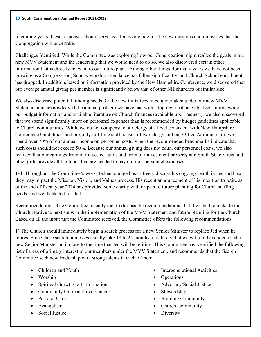In coming years, these responses should serve as a focus or guide for the new missions and ministries that the Congregation will undertake.

Challenges Identified: While the Committee was exploring how our Congregation might realize the goals in our new MVV Statement and the leadership that we would need to do so, we also discovered certain other information that is directly relevant to our future plans. Among other things, for many years we have not been growing as a Congregation, Sunday worship attendance has fallen significantly, and Church School enrollment has dropped. In addition, based on information provided by the New Hampshire Conference, we discovered that our average annual giving per member is significantly below that of other NH churches of similar size.

We also discussed potential funding needs for the new initiatives to be undertaken under our new MVV Statement and acknowledged the annual problem we have had with adopting a balanced budget. In reviewing our budget information and available literature on Church finances (available upon request), we also discovered that we spend significantly more on personnel expenses than is recommended by budget guidelines applicable to Church communities. While we do not compensate our clergy at a level consistent with New Hampshire Conference Guidelines, and our only full-time staff consist of two clergy and our Office Administrator, we spend over 70% of our annual income on personnel costs, when the recommended benchmarks indicate that such costs should not exceed 50%. Because our annual giving does not equal our personnel costs, we also realized that our earnings from our invested funds and from our investment property at 6 South State Street and other gifts provide all the funds that are needed to pay our non-personnel expenses.

Jed: Throughout the Committee's work, Jed encouraged us to freely discuss his ongoing health issues and how they may impact the Mission, Vision, and Values process. His recent announcement of his intention to retire as of the end of fiscal year 2024 has provided some clarity with respect to future planning for Church staffing needs, and we thank Jed for that.

Recommendations: The Committee recently met to discuss the recommendations that it wished to make to the Church relative to next steps in the implementation of the MVV Statement and future planning for the Church. Based on all the input that the Committee received, the Committee offers the following recommendations:

1) The Church should immediately begin a search process for a new Senior Minister to replace Jed when he retires. Since these search processes usually take 18 to 24 months, it is likely that we will not have identified a new Senior Minister until close to the time that Jed will be retiring. This Committee has identified the following list of areas of primary interest to our members under the MVV Statement, and recommends that the Search Committee seek new leadership with strong talents in each of them:

- Children and Youth
- Worship
- Spiritual Growth/Faith Formation
- Community Outreach/Involvement
- Pastoral Care
- Evangelism
- Social Justice
- Intergenerational Activities
- Operations
- Advocacy/Social Justice
- Stewardship
- Building Community
- Church Community
- Diversity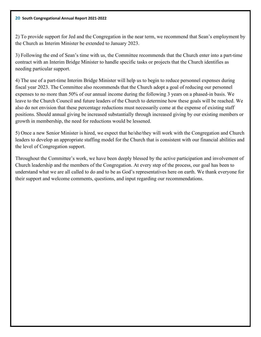#### **20 South Congregational Annual Report 2021-2022**

2) To provide support for Jed and the Congregation in the near term, we recommend that Sean's employment by the Church as Interim Minister be extended to January 2023.

3) Following the end of Sean's time with us, the Committee recommends that the Church enter into a part-time contract with an Interim Bridge Minister to handle specific tasks or projects that the Church identifies as needing particular support.

4) The use of a part-time Interim Bridge Minister will help us to begin to reduce personnel expenses during fiscal year 2023. The Committee also recommends that the Church adopt a goal of reducing our personnel expenses to no more than 50% of our annual income during the following 3 years on a phased-in basis. We leave to the Church Council and future leaders of the Church to determine how these goals will be reached. We also do not envision that these percentage reductions must necessarily come at the expense of existing staff positions. Should annual giving be increased substantially through increased giving by our existing members or growth in membership, the need for reductions would be lessened.

5) Once a new Senior Minister is hired, we expect that he/she/they will work with the Congregation and Church leaders to develop an appropriate staffing model for the Church that is consistent with our financial abilities and the level of Congregation support.

Throughout the Committee's work, we have been deeply blessed by the active participation and involvement of Church leadership and the members of the Congregation. At every step of the process, our goal has been to understand what we are all called to do and to be as God's representatives here on earth. We thank everyone for their support and welcome comments, questions, and input regarding our recommendations.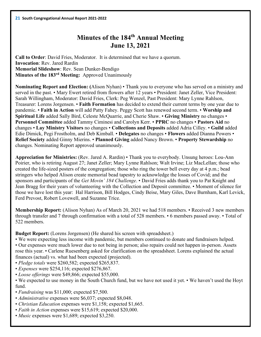# **Minutes of the 184th Annual Meeting June 13, 2021**

**Call to Order**: David Fries, Moderator. It is determined that we have a quorum. **Invocation**: Rev. Jared Rardin **Memorial Slideshow**: Rev. Sean Dunker-Bendigo **Minutes of the 183rd Meeting:** Approved Unanimously

**Nominating Report and Election: (**Alison Nyhan) • Thank you to everyone who has served on a ministry and served in the past. • Mary Ewert retired from flowers after 12 years • President: Janet Zeller, Vice President: Sarah Willingham, Moderator: David Fries, Clerk: Peg Wenzel, Past President: Mary Lynne Rahlson, Treasurer: Lorens Jorgensen. • **Faith Formation** has decided to extend their current terms by one year due to pandemic. • **Faith in Action** will add Patty Fahey. Peggy Scott has renewed second term. • **Worship and Spiritual Life** added Sally Bird, Celeste McQuarrie, and Cherie Shaw. • **Giving Ministry** no changes • **Personnel Committee** added Tammy Ciminesi and Carolyn Kerr. • **PPRC** no changes • **Pastors Aid** no changes • **Lay Ministry Visitors** no changes • **Collections and Deposits** added Adria Cilley. • **Guild** added Edie Dimick, Pegi Frostholm, and Deb Kimball. • **Delegates** no changes • **Flowers** added Dianna Powers • **Relief Society** added Ginny Mierins. • **Planned Giving** added Nancy Brown. • **Property Stewardship** no changes. Nominating Report approved unanimously.

**Appreciation for Ministries:** (Rev. Jared A. Rardin) • Thank you to everybody. Unsung heroes: Lou-Ann Poirier, who is retiring August 27; Janet Zeller; Mary Lynne Rahlson; Walt Irvine; Liz MacLellan; those who created the life-sized posters of the congregation; those who ring the tower bell every day at 4 p.m.; bead stringers who helped Alison create memorial bead tapestry to acknowledge the losses of Covid; and the sponsors and participants of the *Get Movin' 184 Challenge*. • David Fries adds thank you to Pat Knight and Jean Bragg for their years of volunteering with the Collection and Deposit committee. • Moment of silence for those we have lost this year: Hal Harrison, Bill Hodges, Cindy Beise, Mary Giles, Dave Burnham, Karl Levick, Ferd Prevost, Robert Lovewell, and Suzanne Trice.

**Membership Report:** (Alison Nyhan) As of March 20, 2021 we had 518 members. • Received 3 new members through transfer and 7 through confirmation with a total of 528 members. • 6 members passed away. • Total of 522 members.

**Budget Report:** (Lorens Jorgensen) (He shared his screen with spreadsheet.)

- We were expecting less income with pandemic, but members continued to donate and fundraisers helped.
- Our expenses were much lower due to not being in person; also repairs could not happen in-person. Assets rose this year. • Carlene Ruesenberg asked for clarification on the spreadsheet. Lorens explained the actual finances (actual) vs. what had been expected (projected).
- *Pledge totals* were \$260,582; expected \$265,837.
- *Expenses* were \$254,116; expected \$276,867.
- *Loose offerings* were \$49,866; expected \$55,000.
- We expected to use money in the South Church fund, but we have not used it yet. We haven't used the Hoyt fund.
- *Fundraising* was \$11,000; expected \$7,500.
- *Administrative* expenses were \$6,037; expected \$8,048.
- *Christian Education* expenses were \$1,158; expected \$1,665.
- *Faith in Action* expenses were \$15,619; expected \$20,000.
- *Music* expenses were \$1,689; expected \$3,250.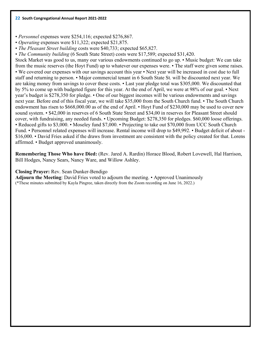• *Personnel* expenses were \$254,116; expected \$276,867.

• *Operating* expenses were \$11,322; expected \$21,875.

• *The Pleasant Street building* costs were \$40,733; expected \$65,827.

• *The Community building* (6 South State Street) costs were \$17,589; expected \$31,420.

Stock Market was good to us, many our various endowments continued to go up. • Music budget: We can take from the music reserves (the Hoyt Fund) up to whatever our expenses were. • The staff were given some raises. • We covered our expenses with our savings account this year • Next year will be increased in cost due to full staff and returning to person. • Major commercial tenant in 6 South State St. will be discounted next year. We are taking money from savings to cover these costs. • Last year pledge total was \$305,000. We discounted that by 5% to come up with budgeted figure for this year. At the end of April, we were at 98% of our goal. • Next year's budget is \$278,350 for pledge. • One of our biggest incomes will be various endowments and savings next year. Before end of this fiscal year, we will take \$35,000 from the South Church fund. • The South Church endowment has risen to \$668,000.00 as of the end of April. • Hoyt Fund of \$230,000 may be used to cover new sound system. • \$42,000 in reserves of 6 South State Street and \$34,00 in reserves for Pleasant Street should cover, with fundraising, any needed funds. • Upcoming Budget: \$278,350 for pledges. \$60,000 loose offerings. • Reduced gifts to \$3,000. • Moseley fund \$7,000. • Projecting to take out \$70,000 from UCC South Church Fund. • Personnel related expenses will increase. Rental income will drop to \$49,992. • Budget deficit of about - \$16,000. • David Fries asked if the draws from investment are consistent with the policy created for that. Lorens affirmed. • Budget approved unanimously.

**Remembering Those Who have Died:** (Rev. Jared A. Rardin) Horace Blood, Robert Lovewell, Hal Harrison, Bill Hodges, Nancy Sears, Nancy Ware, and Willow Ashley.

#### **Closing Prayer:** Rev. Sean Dunker-Bendigo

**Adjourn the Meeting**: David Fries voted to adjourn the meeting. • Approved Unanimously (\*These minutes submitted by Kayla Pingree, taken directly from the Zoom recording on June 16, 2022.)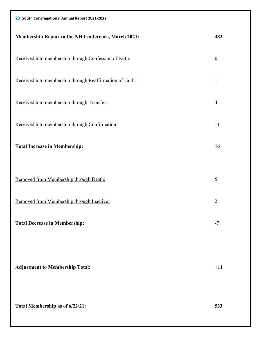| 23 South Congregational Annual Report 2021-2022            |                  |
|------------------------------------------------------------|------------------|
| <b>Membership Report to the NH Conference, March 2021:</b> | 482              |
| Received into membership through Confession of Faith:      | $\boldsymbol{0}$ |
| Received into membership through Reaffirmation of Faith:   | $\mathbf{1}$     |
| Received into membership through Transfer:                 | $\overline{4}$   |
| Received into membership through Confirmation:             | 11               |
| <b>Total Increase in Membership:</b>                       | 16               |
| Removed from Membership through Death:                     | 5                |
| Removed from Membership through Inactive:                  | $\overline{2}$   |
| <b>Total Decrease in Membership:</b>                       | $-7$             |
| <b>Adjustment to Membership Total:</b>                     | $+11$            |
| Total Membership as of 6/22/21:                            | 533              |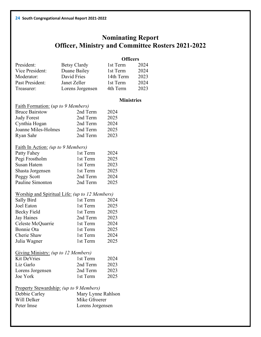# **Nominating Report Officer, Ministry and Committee Rosters 2021-2022**

|                 |                     | <b>Officers</b> |      |
|-----------------|---------------------|-----------------|------|
| President:      | <b>Betsy Clardy</b> | 1st Term        | 2024 |
| Vice President: | Duane Bailey        | 1st Term        | 2024 |
| Moderator:      | David Fries         | 14th Term       | 2023 |
| Past President: | Janet Zeller        | 1st Term        | 2024 |
| Treasurer:      | Lorens Jorgensen    | 4th Term        | 2023 |

#### **Ministries**

| Faith Formation: (up to 9 Members) |          |                     |
|------------------------------------|----------|---------------------|
| <b>Bruce Bairstow</b>              | 2nd Term | 2024                |
| <b>Judy Forest</b>                 | 2nd Term | 2025                |
| Cynthia Hogan                      | 2nd Term | 2024                |
| Joanne Miles-Holmes                | 2nd Term | 2025                |
| Ryan Sahr                          | 2nd Term | 2023                |
| Faith In Action: (up to 9 Members) |          |                     |
| $D - 44 = 12$                      | $1.4$ T  | $\bigcap \bigcap A$ |

| Patty Fahey      | 1st Term | 2024 |
|------------------|----------|------|
| Pegi Frostholm   | 1st Term | 2025 |
| Susan Hatem      | 1st Term | 2023 |
| Shasta Jorgensen | 1st Term | 2025 |
| Peggy Scott      | 2nd Term | 2024 |
| Pauline Simonton | 2nd Term | 2025 |

## Worship and Spiritual Life: *(up to 12 Members)*

| Sally Bird        | 1st Term | 2024 |
|-------------------|----------|------|
| Joel Eaton        | 1st Term | 2025 |
| Becky Field       | 1st Term | 2025 |
| Jay Haines        | 2nd Term | 2023 |
| Celeste McQuarrie | 1st Term | 2024 |
| Bonnie Ota        | 1st Term | 2025 |
| Cherie Shaw       | 1st Term | 2024 |
| Julia Wagner      | 1st Term | 2025 |

| Giving Ministry: (up to 12 Members) |          |      |
|-------------------------------------|----------|------|
| <b>Kit DeVries</b>                  | 1st Term | 2024 |
| Liz Garlo                           | 2nd Term | 2023 |
| Lorens Jorgensen                    | 2nd Term | 2023 |
| Joe York                            | 1st Term | 2025 |

| Property Stewardship: (up to 9 Members) |                    |  |
|-----------------------------------------|--------------------|--|
| Debbie Carley                           | Mary Lynne Rahlson |  |
| Will Delker                             | Mike Gfroerer      |  |
| Peter Imse                              | Lorens Jorgensen   |  |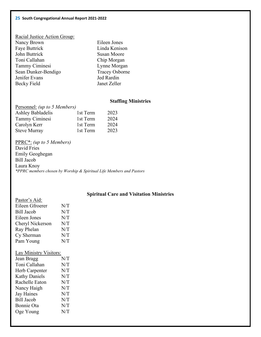| Racial Justice Action Group: |                       |
|------------------------------|-----------------------|
| Nancy Brown                  | Eileen Jones          |
| Faye Buttrick                | Linda Kenison         |
| John Buttrick                | Susan Moore           |
| Toni Callahan                | Chip Morgan           |
| Tammy Ciminesi               | Lynne Morgan          |
| Sean Dunker-Bendigo          | <b>Tracey Osborne</b> |
| Jenifer Evans                | Jed Rardin            |
| <b>Becky Field</b>           | Janet Zeller          |

### **Staffing Ministries**

| Personnel: <i>(up to 5 Members)</i> |          |      |
|-------------------------------------|----------|------|
| Ashley Babladelis                   | 1st Term | 2023 |
| Tammy Ciminesi                      | 1st Term | 2024 |
| Carolyn Kerr                        | 1st Term | 2024 |
| <b>Steve Murray</b>                 | 1st Term | 2023 |

PPRC\*: *(up to 5 Members)* David Fries Emily Geoghegan Bill Jacob Laura Knoy *\*PPRC members chosen by Worship & Spiritual Life Members and Pastors*

## **Spiritual Care and Visitation Ministries**

| Pastor's Aid:     |     |
|-------------------|-----|
| Eileen Gfroerer   | N/T |
| <b>Bill Jacob</b> | N/T |
| Eileen Jones      | N/T |
| Cheryl Nickerson  | N/T |
| Ray Phelan        | N/T |
| Cy Sherman        | N/T |
| Pam Young         | N/T |
|                   |     |

# Lay Ministry Visitors:

| Jean Bragg           | N/T |
|----------------------|-----|
| Toni Callahan        | N/T |
| Herb Carpenter       | N/T |
| <b>Kathy Daniels</b> | N/T |
| Rachelle Eaton       | N/T |
| Nancy Haigh          | N/T |
| <b>Jay Haines</b>    | N/T |
| <b>Bill Jacob</b>    | N/T |
| Bonnie Ota           | N/T |
| Oge Young            | N/T |
|                      |     |